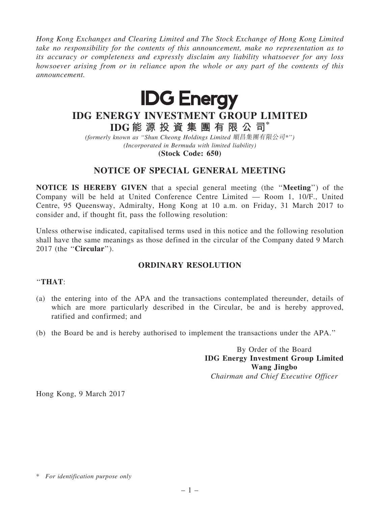*Hong Kong Exchanges and Clearing Limited and The Stock Exchange of Hong Kong Limited take no responsibility for the contents of this announcement, make no representation as to its accuracy or completeness and expressly disclaim any liability whatsoever for any loss howsoever arising from or in reliance upon the whole or any part of the contents of this announcement.*



# IDG ENERGY INVESTMENT GROUP LIMITED IDG 能 源 投 資 集 團 有 限 公 司\*

*(formerly known as* ''*Shun Cheong Holdings Limited* 順昌集團有限公司*\**''*) (Incorporated in Bermuda with limited liability)*

(Stock Code: 650)

## NOTICE OF SPECIAL GENERAL MEETING

NOTICE IS HEREBY GIVEN that a special general meeting (the ''Meeting'') of the Company will be held at United Conference Centre Limited — Room 1, 10/F., United Centre, 95 Queensway, Admiralty, Hong Kong at 10 a.m. on Friday, 31 March 2017 to consider and, if thought fit, pass the following resolution:

Unless otherwise indicated, capitalised terms used in this notice and the following resolution shall have the same meanings as those defined in the circular of the Company dated 9 March 2017 (the ''Circular'').

## ORDINARY RESOLUTION

#### ''THAT:

- (a) the entering into of the APA and the transactions contemplated thereunder, details of which are more particularly described in the Circular, be and is hereby approved, ratified and confirmed; and
- (b) the Board be and is hereby authorised to implement the transactions under the APA.''

By Order of the Board IDG Energy Investment Group Limited Wang Jingbo *Chairman and Chief Executive Officer*

Hong Kong, 9 March 2017

<sup>\*</sup> *For identification purpose only*